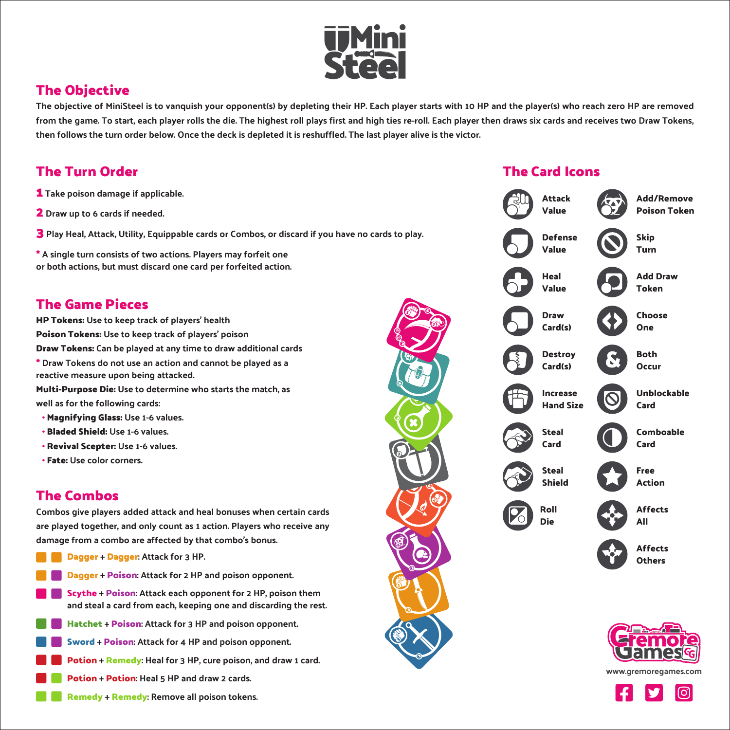

# **The Objective**

The objective of MiniSteel is to vanquish your opponent(s) by depleting their HP. Each player starts with 10 HP and the player(s) who reach zero HP are removed from the game. To start, each player rolls the die. The highest roll plays first and high ties re-roll. Each player then draws six cards and receives two Draw Tokens, then follows the turn order below. Once the deck is depleted it is reshuffled. The last player alive is the victor.

# **The Turn Order**

- **1** Take poison damage if applicable.
- **2** Draw up to 6 cards if needed.
- **3** Play Heal, Attack, Utility, Equippable cards or Combos, or discard if you have no cards to play.

**\*** A single turn consists of two actions. Players may forfeit one or both actions, but must discard one card per forfeited action.

### **The Game Pieces**

**HP Tokens:** Use to keep track of players' health **Poison Tokens:** Use to keep track of players' poison **Draw Tokens:** Can be played at any time to draw additional cards **\*** Draw Tokens do not use an action and cannot be played as a reactive measure upon being attacked. **Multi-Purpose Die:** Use to determine who starts the match, as

well as for the following cards:

- **∙ Magnifying Glass:** Use 1-6 values.
- **∙ Bladed Shield:** Use 1-6 values.
- **∙ Revival Scepter:** Use 1-6 values.
- **∙ Fate:** Use color corners.

## **The Combos**

Combos give players added attack and heal bonuses when certain cards are played together, and only count as 1 action. Players who receive any damage from a combo are affected by that combo's bonus.

- **Dagger** + **Dagger**: Attack for 3 HP.
- **Dagger** + **Poison**: Attack for 2 HP and poison opponent.
- **Scythe** + **Poison**: Attack each opponent for 2 HP, poison them and steal a card from each, keeping one and discarding the rest.
- **Hatchet** + **Poison**: Attack for 3 HP and poison opponent.
- **Sword** + **Poison**: Attack for 4 HP and poison opponent.
- **Potion** + **Remedy**: Heal for 3 HP, cure poison, and draw 1 card.
- **Potion** + **Potion**: Heal 5 HP and draw 2 cards.
	- **Remedy** + **Remedy**: Remove all poison tokens.



#### **The Card Icons**